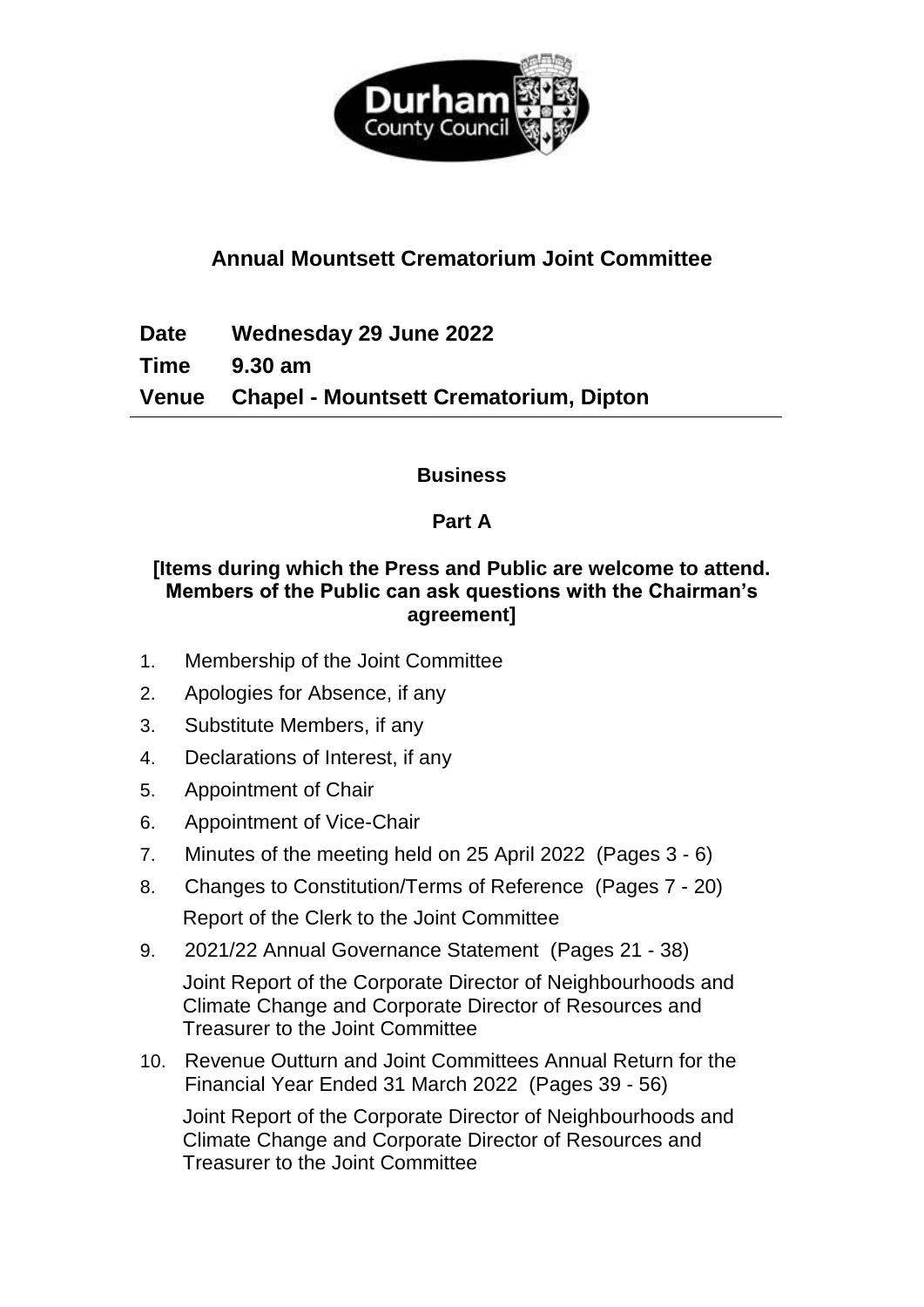

# **Annual Mountsett Crematorium Joint Committee**

**Date Wednesday 29 June 2022**

**Time 9.30 am**

**Venue Chapel - Mountsett Crematorium, Dipton**

**Business**

## **Part A**

## **[Items during which the Press and Public are welcome to attend. Members of the Public can ask questions with the Chairman's agreement]**

- 1. Membership of the Joint Committee
- 2. Apologies for Absence, if any
- 3. Substitute Members, if any
- 4. Declarations of Interest, if any
- 5. Appointment of Chair
- 6. Appointment of Vice-Chair
- 7. Minutes of the meeting held on 25 April 2022(Pages 3 6)
- 8. Changes to Constitution/Terms of Reference (Pages 7 20) Report of the Clerk to the Joint Committee
- 9. 2021/22 Annual Governance Statement (Pages 21 38) Joint Report of the Corporate Director of Neighbourhoods and Climate Change and Corporate Director of Resources and Treasurer to the Joint Committee
- 10. Revenue Outturn and Joint Committees Annual Return for the Financial Year Ended 31 March 2022 (Pages 39 - 56)

Joint Report of the Corporate Director of Neighbourhoods and Climate Change and Corporate Director of Resources and Treasurer to the Joint Committee